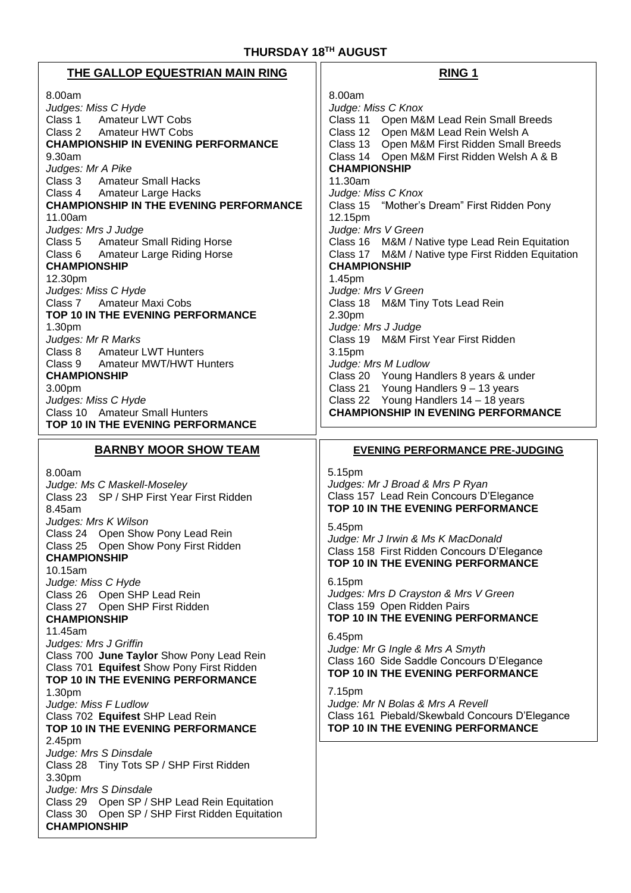# **THURSDAY 18 TH AUGUST**

| THE GALLOP EQUESTRIAN MAIN RING                                                                                                                                                                                                                                                                                                                                                                                                                                                                                                                                                           | <b>RING 1</b>                                                                                                                                                                                                                                                                                                                                                                                                                                                                                                                                                                                                                    |
|-------------------------------------------------------------------------------------------------------------------------------------------------------------------------------------------------------------------------------------------------------------------------------------------------------------------------------------------------------------------------------------------------------------------------------------------------------------------------------------------------------------------------------------------------------------------------------------------|----------------------------------------------------------------------------------------------------------------------------------------------------------------------------------------------------------------------------------------------------------------------------------------------------------------------------------------------------------------------------------------------------------------------------------------------------------------------------------------------------------------------------------------------------------------------------------------------------------------------------------|
| 8.00am<br>Judges: Miss C Hyde<br>Class 1 Amateur LWT Cobs<br>Class 2<br><b>Amateur HWT Cobs</b><br><b>CHAMPIONSHIP IN EVENING PERFORMANCE</b><br>9.30am<br>Judges: Mr A Pike<br><b>Amateur Small Hacks</b><br>Class 3<br>Class 4 Amateur Large Hacks<br><b>CHAMPIONSHIP IN THE EVENING PERFORMANCE</b><br>11.00am<br>Judges: Mrs J Judge<br>Class 5 Amateur Small Riding Horse<br>Class 6 Amateur Large Riding Horse<br><b>CHAMPIONSHIP</b><br>12.30pm<br>Judges: Miss C Hyde<br><b>Amateur Maxi Cobs</b><br>Class 7<br>TOP 10 IN THE EVENING PERFORMANCE<br>1.30pm<br>Judges: Mr R Marks | 8.00am<br>Judge: Miss C Knox<br>Class 11 Open M&M Lead Rein Small Breeds<br>Class 12 Open M&M Lead Rein Welsh A<br>Class 13 Open M&M First Ridden Small Breeds<br>Class 14 Open M&M First Ridden Welsh A & B<br><b>CHAMPIONSHIP</b><br>11.30am<br>Judge: Miss C Knox<br>Class 15 "Mother's Dream" First Ridden Pony<br>12.15pm<br>Judge: Mrs V Green<br>Class 16 M&M / Native type Lead Rein Equitation<br>Class 17 M&M / Native type First Ridden Equitation<br><b>CHAMPIONSHIP</b><br>1.45pm<br>Judge: Mrs V Green<br>Class 18 M&M Tiny Tots Lead Rein<br>2.30pm<br>Judge: Mrs J Judge<br>Class 19 M&M First Year First Ridden |
| Class 8<br><b>Amateur LWT Hunters</b><br><b>Amateur MWT/HWT Hunters</b><br>Class 9<br><b>CHAMPIONSHIP</b><br>3.00pm<br>Judges: Miss C Hyde<br>Class 10 Amateur Small Hunters<br>TOP 10 IN THE EVENING PERFORMANCE                                                                                                                                                                                                                                                                                                                                                                         | 3.15pm<br>Judge: Mrs M Ludlow<br>Class 20 Young Handlers 8 years & under<br>Class 21 Young Handlers 9 - 13 years<br>Class 22 Young Handlers 14 - 18 years<br><b>CHAMPIONSHIP IN EVENING PERFORMANCE</b>                                                                                                                                                                                                                                                                                                                                                                                                                          |
| <b>BARNBY MOOR SHOW TEAM</b>                                                                                                                                                                                                                                                                                                                                                                                                                                                                                                                                                              | <b>EVENING PERFORMANCE PRE-JUDGING</b>                                                                                                                                                                                                                                                                                                                                                                                                                                                                                                                                                                                           |
| 8.00am<br>Judge: Ms C Maskell-Moseley<br>Class 23 SP / SHP First Year First Ridden<br>8.45am<br>Judges: Mrs K Wilson<br>Class 24 Open Show Pony Lead Rein<br>Class 25 Open Show Pony First Ridden                                                                                                                                                                                                                                                                                                                                                                                         | 5.15pm<br>Judges: Mr J Broad & Mrs P Ryan<br>Class 157 Lead Rein Concours D'Elegance<br>TOP 10 IN THE EVENING PERFORMANCE<br>5.45pm<br>Judge: Mr J Irwin & Ms K MacDonald<br>Class 158 First Ridden Concours D'Elegance                                                                                                                                                                                                                                                                                                                                                                                                          |
| <b>CHAMPIONSHIP</b><br>10.15am<br>Judge: Miss C Hyde<br>Class 26 Open SHP Lead Rein<br>Class 27 Open SHP First Ridden<br><b>CHAMPIONSHIP</b>                                                                                                                                                                                                                                                                                                                                                                                                                                              | TOP 10 IN THE EVENING PERFORMANCE<br>6.15pm<br>Judges: Mrs D Crayston & Mrs V Green<br>Class 159 Open Ridden Pairs<br>TOP 10 IN THE EVENING PERFORMANCE                                                                                                                                                                                                                                                                                                                                                                                                                                                                          |
| 11.45am<br>Judges: Mrs J Griffin<br>Class 700 June Taylor Show Pony Lead Rein<br>Class 701 Equifest Show Pony First Ridden<br>TOP 10 IN THE EVENING PERFORMANCE<br>1.30pm<br>Judge: Miss F Ludlow<br>Class 702 Equifest SHP Lead Rein<br>TOP 10 IN THE EVENING PERFORMANCE                                                                                                                                                                                                                                                                                                                | 6.45pm<br>Judge: Mr G Ingle & Mrs A Smyth<br>Class 160 Side Saddle Concours D'Elegance<br>TOP 10 IN THE EVENING PERFORMANCE<br>7.15pm<br>Judge: Mr N Bolas & Mrs A Revell<br>Class 161 Piebald/Skewbald Concours D'Elegance<br>TOP 10 IN THE EVENING PERFORMANCE                                                                                                                                                                                                                                                                                                                                                                 |
| 2.45pm<br>Judge: Mrs S Dinsdale<br>Class 28<br>Tiny Tots SP / SHP First Ridden<br>3.30pm<br>Judge: Mrs S Dinsdale<br>Class 29 Open SP / SHP Lead Rein Equitation<br>Class 30 Open SP / SHP First Ridden Equitation<br><b>CHAMPIONSHIP</b>                                                                                                                                                                                                                                                                                                                                                 |                                                                                                                                                                                                                                                                                                                                                                                                                                                                                                                                                                                                                                  |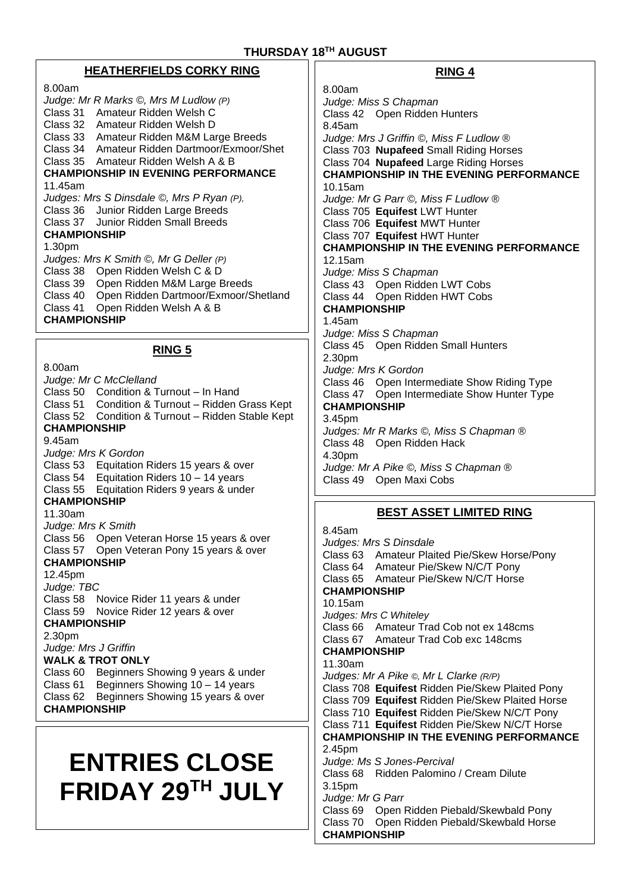# **HEATHERFIELDS CORKY RING**

8.00am *Judge: Mr R Marks ©, Mrs M Ludlow (P)* Class 31 Amateur Ridden Welsh C Class 32 Amateur Ridden Welsh D Class 33 Amateur Ridden M&M Large Breeds Class 34 Amateur Ridden Dartmoor/Exmoor/Shet Class 35 Amateur Ridden Welsh A & B **CHAMPIONSHIP IN EVENING PERFORMANCE** 11.45am *Judges: Mrs S Dinsdale ©, Mrs P Ryan (P),* Class 36 Junior Ridden Large Breeds Class 37 Junior Ridden Small Breeds **CHAMPIONSHIP** 1.30pm *Judges: Mrs K Smith ©, Mr G Deller (P)* Class 38 Open Ridden Welsh C & D Class 39 Open Ridden M&M Large Breeds Class 40 Open Ridden Dartmoor/Exmoor/Shetland Class 41 Open Ridden Welsh A & B **CHAMPIONSHIP**

#### **RING 5**

8.00am *Judge: Mr C McClelland* Class 50 Condition & Turnout – In Hand Class 51 Condition & Turnout – Ridden Grass Kept Class 52 Condition & Turnout – Ridden Stable Kept **CHAMPIONSHIP** 9.45am *Judge: Mrs K Gordon* Class 53 Equitation Riders 15 years & over Class 54 Equitation Riders 10 – 14 years Class 55 Equitation Riders 9 years & under **CHAMPIONSHIP** 11.30am *Judge: Mrs K Smith*  Class 56 Open Veteran Horse 15 years & over Class 57 Open Veteran Pony 15 years & over **CHAMPIONSHIP** 12.45pm *Judge: TBC* Class 58 Novice Rider 11 years & under Class 59 Novice Rider 12 years & over **CHAMPIONSHIP** 2.30pm *Judge: Mrs J Griffin*  **WALK & TROT ONLY** Class 60 Beginners Showing 9 years & under Class 61 Beginners Showing 10 – 14 years Class 62 Beginners Showing 15 years & over **CHAMPIONSHIP**

# **ENTRIES CLOSE FRIDAY 29TH JULY**

# **RING 4**

8.00am *Judge: Miss S Chapman* Class 42 Open Ridden Hunters 8.45am *Judge: Mrs J Griffin ©, Miss F Ludlow ®* Class 703 **Nupafeed** Small Riding Horses Class 704 **Nupafeed** Large Riding Horses **CHAMPIONSHIP IN THE EVENING PERFORMANCE** 10.15am *Judge: Mr G Parr ©, Miss F Ludlow ®* Class 705 **Equifest** LWT Hunter Class 706 **Equifest** MWT Hunter Class 707 **Equifest** HWT Hunter **CHAMPIONSHIP IN THE EVENING PERFORMANCE** 12.15am *Judge: Miss S Chapman* Class 43 Open Ridden LWT Cobs Class 44 Open Ridden HWT Cobs **CHAMPIONSHIP** 1.45am *Judge: Miss S Chapman* Cl*a*ss 45 Open Ridden Small Hunters 2.30pm *Judge: Mrs K Gordon* Class 46 Open Intermediate Show Riding Type Class 47 Open Intermediate Show Hunter Type **CHAMPIONSHIP** 3.45pm *Judges: Mr R Marks ©, Miss S Chapman ®* Class 48 Open Ridden Hack 4.30pm *Judge: Mr A Pike ©, Miss S Chapman ®* Class 49 Open Maxi Cobs

# **BEST ASSET LIMITED RING**

8.45am *Judges: Mrs S Dinsdale*  Class 63 Amateur Plaited Pie/Skew Horse/Pony Class 64 Amateur Pie/Skew N/C/T Pony Class 65 Amateur Pie/Skew N/C/T Horse **CHAMPIONSHIP**  10.15am *Judges: Mrs C Whiteley*  Class 66 Amateur Trad Cob not ex 148cms Class 67 Amateur Trad Cob exc 148cms **CHAMPIONSHIP** 11.30am *Judges: Mr A Pike ©, Mr L Clarke (R/P)* Class 708 **Equifest** Ridden Pie/Skew Plaited Pony Class 709 **Equifest** Ridden Pie/Skew Plaited Horse Class 710 **Equifest** Ridden Pie/Skew N/C/T Pony Class 711 **Equifest** Ridden Pie/Skew N/C/T Horse **CHAMPIONSHIP IN THE EVENING PERFORMANCE** 2.45pm *Judge: Ms S Jones-Percival* Class 68 Ridden Palomino / Cream Dilute 3.15pm *Judge: Mr G Parr* Class 69 Open Ridden Piebald/Skewbald Pony Class 70 Open Ridden Piebald/Skewbald Horse **CHAMPIONSHIP**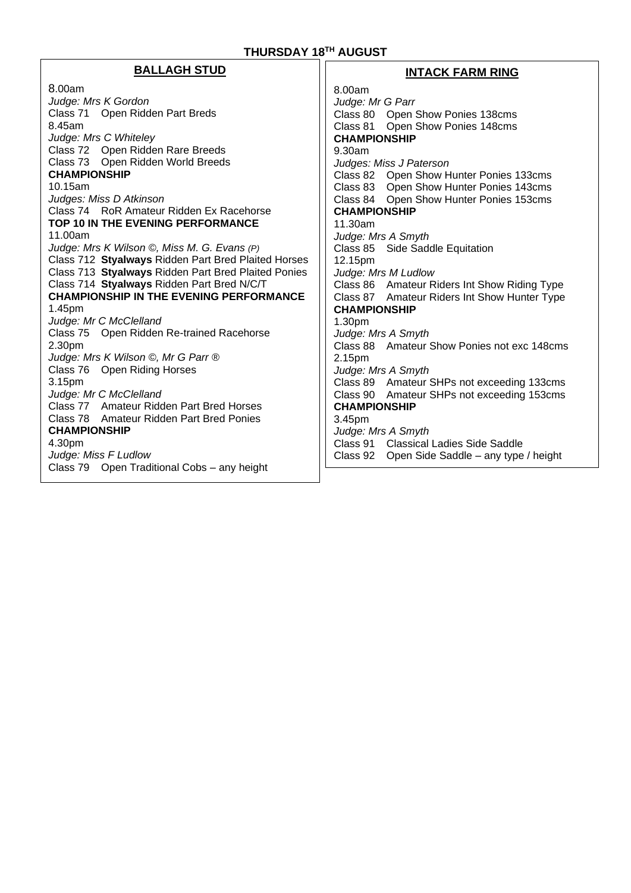#### **BALLAGH STUD**  8.00am *Judge: Mrs K Gordon* Class 71 Open Ridden Part Breds 8.45am *Judge: Mrs C Whiteley*  Class 72 Open Ridden Rare Breeds Class 73 Open Ridden World Breeds **CHAMPIONSHIP** 10.15am *Judges: Miss D Atkinson* Class 74 RoR Amateur Ridden Ex Racehorse **TOP 10 IN THE EVENING PERFORMANCE** 11.00am *Judge: Mrs K Wilson ©, Miss M. G. Evans (P)* Class 712 **Styalways** Ridden Part Bred Plaited Horses Class 713 **Styalways** Ridden Part Bred Plaited Ponies Class 714 **Styalways** Ridden Part Bred N/C/T **CHAMPIONSHIP IN THE EVENING PERFORMANCE** 1.45pm *Judge: Mr C McClelland*  Class 75 Open Ridden Re-trained Racehorse 2.30pm *Judge: Mrs K Wilson ©, Mr G Parr ®* Class 76 Open Riding Horses 3.15pm *Judge: Mr C McClelland* Class 77 Amateur Ridden Part Bred Horses Class 78 Amateur Ridden Part Bred Ponies **CHAMPIONSHIP**  4.30pm *Judge: Miss F Ludlow*  Class 79 Open Traditional Cobs – any height **INTACK FARM RING** 8.00am *Judge: Mr G Parr* Class 80 Open Show Ponies 138cms Class 81 Open Show Ponies 148cms **CHAMPIONSHIP** 9.30am *Judges: Miss J Paterson*  Class 82 Open Show Hunter Ponies 133cms Class 83 Open Show Hunter Ponies 143cms Class 84 Open Show Hunter Ponies 153cms **CHAMPIONSHIP** 11.30am *Judge: Mrs A Smyth* Class 85 Side Saddle Equitation 12.15pm *Judge: Mrs M Ludlow* Class 86 Amateur Riders Int Show Riding Type Class 87 Amateur Riders Int Show Hunter Type **CHAMPIONSHIP** 1.30pm *Judge: Mrs A Smyth* Class 88 Amateur Show Ponies not exc 148cms 2.15pm *Judge: Mrs A Smyth* Class 89 Amateur SHPs not exceeding 133cms Class 90 Amateur SHPs not exceeding 153cms **CHAMPIONSHIP** 3.45pm *Judge: Mrs A Smyth* Class 91 Classical Ladies Side Saddle Class 92 Open Side Saddle – any type / height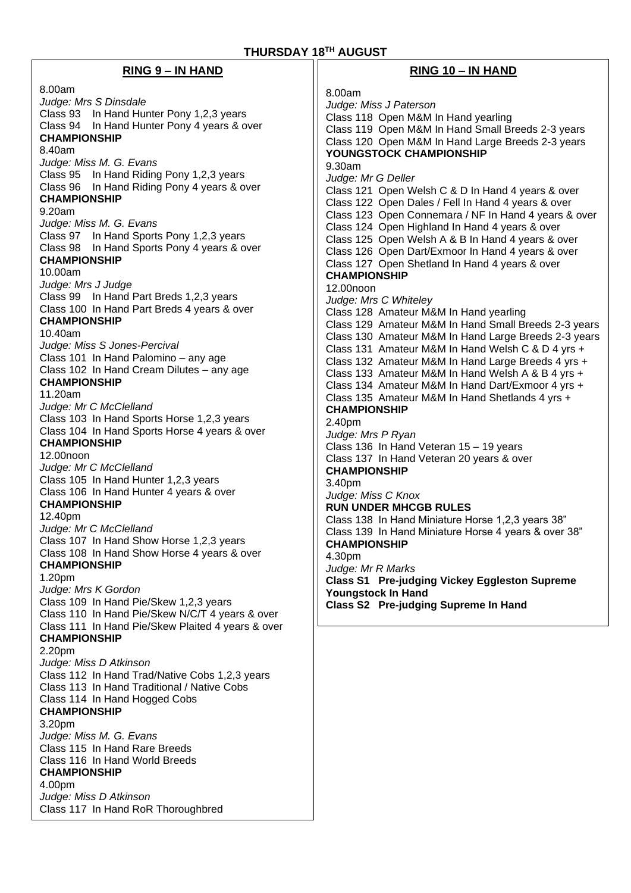| <b>RING 9 - IN HAND</b>                                                                                                                                                                                                                                                                                                                                                                                                                                                                                                                                                                                                                                                                                                                                                                                                                                                                                                                                                                                                                                                                                                                                                                                                                                                                                                                                                                                                                                                                                                                                                                                                                                                                                                                                                                                                           | RING 10 - IN HAND                                                                                                                                                                                                                                                                                                                                                                                                                                                                                                                                                                                                                                                                                                                                                                                                                                                                                                                                                                                                                                                                                                                                                                                                                                                                                                                                                                                                                                                                                                                                                                                                                                                 |
|-----------------------------------------------------------------------------------------------------------------------------------------------------------------------------------------------------------------------------------------------------------------------------------------------------------------------------------------------------------------------------------------------------------------------------------------------------------------------------------------------------------------------------------------------------------------------------------------------------------------------------------------------------------------------------------------------------------------------------------------------------------------------------------------------------------------------------------------------------------------------------------------------------------------------------------------------------------------------------------------------------------------------------------------------------------------------------------------------------------------------------------------------------------------------------------------------------------------------------------------------------------------------------------------------------------------------------------------------------------------------------------------------------------------------------------------------------------------------------------------------------------------------------------------------------------------------------------------------------------------------------------------------------------------------------------------------------------------------------------------------------------------------------------------------------------------------------------|-------------------------------------------------------------------------------------------------------------------------------------------------------------------------------------------------------------------------------------------------------------------------------------------------------------------------------------------------------------------------------------------------------------------------------------------------------------------------------------------------------------------------------------------------------------------------------------------------------------------------------------------------------------------------------------------------------------------------------------------------------------------------------------------------------------------------------------------------------------------------------------------------------------------------------------------------------------------------------------------------------------------------------------------------------------------------------------------------------------------------------------------------------------------------------------------------------------------------------------------------------------------------------------------------------------------------------------------------------------------------------------------------------------------------------------------------------------------------------------------------------------------------------------------------------------------------------------------------------------------------------------------------------------------|
| 8.00am<br>Judge: Mrs S Dinsdale<br>Class 93 In Hand Hunter Pony 1,2,3 years<br>Class 94 In Hand Hunter Pony 4 years & over<br><b>CHAMPIONSHIP</b><br>8.40am<br>Judge: Miss M. G. Evans<br>Class 95 In Hand Riding Pony 1,2,3 years<br>Class 96 In Hand Riding Pony 4 years & over<br><b>CHAMPIONSHIP</b><br>9.20am<br>Judge: Miss M. G. Evans<br>Class 97 In Hand Sports Pony 1,2,3 years<br>Class 98 In Hand Sports Pony 4 years & over<br><b>CHAMPIONSHIP</b><br>10.00am<br>Judge: Mrs J Judge<br>Class 99 In Hand Part Breds 1,2,3 years<br>Class 100 In Hand Part Breds 4 years & over<br><b>CHAMPIONSHIP</b><br>10.40am<br>Judge: Miss S Jones-Percival<br>Class 101 In Hand Palomino - any age<br>Class 102 In Hand Cream Dilutes - any age<br><b>CHAMPIONSHIP</b><br>11.20am<br>Judge: Mr C McClelland<br>Class 103 In Hand Sports Horse 1,2,3 years<br>Class 104 In Hand Sports Horse 4 years & over<br><b>CHAMPIONSHIP</b><br>12.00 <sub>noon</sub><br>Judge: Mr C McClelland<br>Class 105 In Hand Hunter 1,2,3 years<br>Class 106 In Hand Hunter 4 years & over<br><b>CHAMPIONSHIP</b><br>12.40pm<br>Judge: Mr C McClelland<br>Class 107 In Hand Show Horse 1,2,3 years<br>Class 108 In Hand Show Horse 4 years & over<br><b>CHAMPIONSHIP</b><br>1.20pm<br>Judge: Mrs K Gordon<br>Class 109 In Hand Pie/Skew 1,2,3 years<br>Class 110 In Hand Pie/Skew N/C/T 4 years & over<br>Class 111 In Hand Pie/Skew Plaited 4 years & over<br><b>CHAMPIONSHIP</b><br>2.20pm<br>Judge: Miss D Atkinson<br>Class 112 In Hand Trad/Native Cobs 1,2,3 years<br>Class 113 In Hand Traditional / Native Cobs<br>Class 114 In Hand Hogged Cobs<br><b>CHAMPIONSHIP</b><br>3.20pm<br>Judge: Miss M. G. Evans<br>Class 115 In Hand Rare Breeds<br>Class 116 In Hand World Breeds<br><b>CHAMPIONSHIP</b><br>4.00pm<br>Judge: Miss D Atkinson | 8.00am<br>Judge: Miss J Paterson<br>Class 118 Open M&M In Hand yearling<br>Class 119 Open M&M In Hand Small Breeds 2-3 years<br>Class 120 Open M&M In Hand Large Breeds 2-3 years<br>YOUNGSTOCK CHAMPIONSHIP<br>9.30am<br>Judge: Mr G Deller<br>Class 121 Open Welsh C & D In Hand 4 years & over<br>Class 122 Open Dales / Fell In Hand 4 years & over<br>Class 123 Open Connemara / NF In Hand 4 years & over<br>Class 124 Open Highland In Hand 4 years & over<br>Class 125 Open Welsh A & B In Hand 4 years & over<br>Class 126 Open Dart/Exmoor In Hand 4 years & over<br>Class 127 Open Shetland In Hand 4 years & over<br><b>CHAMPIONSHIP</b><br>12.00noon<br>Judge: Mrs C Whiteley<br>Class 128 Amateur M&M In Hand yearling<br>Class 129 Amateur M&M In Hand Small Breeds 2-3 years<br>Class 130 Amateur M&M In Hand Large Breeds 2-3 years<br>Class 131 Amateur M&M In Hand Welsh C & D 4 yrs +<br>Class 132 Amateur M&M In Hand Large Breeds 4 yrs +<br>Class 133 Amateur M&M In Hand Welsh A & B 4 yrs +<br>Class 134 Amateur M&M In Hand Dart/Exmoor 4 yrs +<br>Class 135 Amateur M&M In Hand Shetlands 4 yrs +<br><b>CHAMPIONSHIP</b><br>2.40pm<br>Judge: Mrs P Ryan<br>Class 136 In Hand Veteran 15 - 19 years<br>Class 137 In Hand Veteran 20 years & over<br><b>CHAMPIONSHIP</b><br>3.40pm<br>Judge: Miss C Knox<br><b>RUN UNDER MHCGB RULES</b><br>Class 138 In Hand Miniature Horse 1,2,3 years 38"<br>Class 139 In Hand Miniature Horse 4 years & over 38"<br><b>CHAMPIONSHIP</b><br>4.30pm<br>Judge: Mr R Marks<br><b>Class S1 Pre-judging Vickey Eggleston Supreme</b><br><b>Youngstock In Hand</b><br>Class S2 Pre-judging Supreme In Hand |
| Class 117 In Hand RoR Thoroughbred                                                                                                                                                                                                                                                                                                                                                                                                                                                                                                                                                                                                                                                                                                                                                                                                                                                                                                                                                                                                                                                                                                                                                                                                                                                                                                                                                                                                                                                                                                                                                                                                                                                                                                                                                                                                |                                                                                                                                                                                                                                                                                                                                                                                                                                                                                                                                                                                                                                                                                                                                                                                                                                                                                                                                                                                                                                                                                                                                                                                                                                                                                                                                                                                                                                                                                                                                                                                                                                                                   |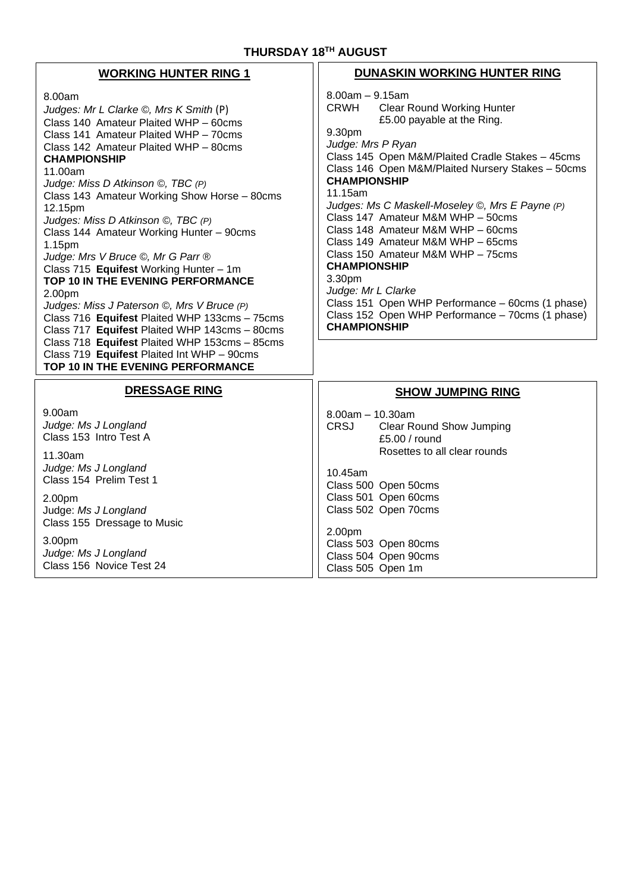#### **THURSDAY 18 TH AUGUST**

| THURSDAY 18TH AUGUST                                                                                                                                                                                                                                                                                                                                                                                                                                                                                                                                                                                                                                                                                                                                                                                                        |                                                                                                                                                                                                                                                                                                                                                                                                                                                                                                                                                                                                                                                                            |
|-----------------------------------------------------------------------------------------------------------------------------------------------------------------------------------------------------------------------------------------------------------------------------------------------------------------------------------------------------------------------------------------------------------------------------------------------------------------------------------------------------------------------------------------------------------------------------------------------------------------------------------------------------------------------------------------------------------------------------------------------------------------------------------------------------------------------------|----------------------------------------------------------------------------------------------------------------------------------------------------------------------------------------------------------------------------------------------------------------------------------------------------------------------------------------------------------------------------------------------------------------------------------------------------------------------------------------------------------------------------------------------------------------------------------------------------------------------------------------------------------------------------|
| <b>WORKING HUNTER RING 1</b>                                                                                                                                                                                                                                                                                                                                                                                                                                                                                                                                                                                                                                                                                                                                                                                                | <b>DUNASKIN WORKING HUNTER RING</b>                                                                                                                                                                                                                                                                                                                                                                                                                                                                                                                                                                                                                                        |
| 8.00am<br>Judges: Mr L Clarke ©, Mrs K Smith (P)<br>Class 140 Amateur Plaited WHP - 60cms<br>Class 141 Amateur Plaited WHP - 70cms<br>Class 142 Amateur Plaited WHP - 80cms<br><b>CHAMPIONSHIP</b><br>11.00am<br>Judge: Miss D Atkinson ©, TBC (P)<br>Class 143 Amateur Working Show Horse - 80cms<br>12.15pm<br>Judges: Miss D Atkinson ©, TBC (P)<br>Class 144 Amateur Working Hunter - 90cms<br>1.15pm<br>Judge: Mrs V Bruce ©, Mr G Parr ®<br>Class 715 Equifest Working Hunter - 1m<br>TOP 10 IN THE EVENING PERFORMANCE<br>2.00pm<br>Judges: Miss J Paterson ©, Mrs V Bruce (P)<br>Class 716 Equifest Plaited WHP 133cms - 75cms<br>Class 717 Equifest Plaited WHP 143cms - 80cms<br>Class 718 Equifest Plaited WHP 153cms - 85cms<br>Class 719 Equifest Plaited Int WHP - 90cms<br>TOP 10 IN THE EVENING PERFORMANCE | $8.00am - 9.15am$<br><b>Clear Round Working Hunter</b><br><b>CRWH</b><br>£5.00 payable at the Ring.<br>9.30pm<br>Judge: Mrs P Ryan<br>Class 145 Open M&M/Plaited Cradle Stakes - 45cms<br>Class 146 Open M&M/Plaited Nursery Stakes - 50cms<br><b>CHAMPIONSHIP</b><br>11.15am<br>Judges: Ms C Maskell-Moseley ©, Mrs E Payne (P)<br>Class 147 Amateur M&M WHP - 50cms<br>Class 148 Amateur M&M WHP - 60cms<br>Class 149 Amateur M&M WHP - 65cms<br>Class 150 Amateur M&M WHP - 75cms<br><b>CHAMPIONSHIP</b><br>3.30pm<br>Judge: Mr L Clarke<br>Class 151 Open WHP Performance - 60cms (1 phase)<br>Class 152 Open WHP Performance - 70cms (1 phase)<br><b>CHAMPIONSHIP</b> |
| <b>DRESSAGE RING</b>                                                                                                                                                                                                                                                                                                                                                                                                                                                                                                                                                                                                                                                                                                                                                                                                        | <b>SHOW JUMPING RING</b>                                                                                                                                                                                                                                                                                                                                                                                                                                                                                                                                                                                                                                                   |
| 9.00am<br>Judge: Ms J Longland<br>Class 153 Intro Test A<br>11.30am                                                                                                                                                                                                                                                                                                                                                                                                                                                                                                                                                                                                                                                                                                                                                         | $8.00am - 10.30am$<br><b>CRSJ</b><br><b>Clear Round Show Jumping</b><br>£5.00 / round<br>Rosettes to all clear rounds                                                                                                                                                                                                                                                                                                                                                                                                                                                                                                                                                      |
| Judge: Ms J Longland<br>Class 154 Prelim Test 1                                                                                                                                                                                                                                                                                                                                                                                                                                                                                                                                                                                                                                                                                                                                                                             | 10.45am<br>Class 500 Open 50cms                                                                                                                                                                                                                                                                                                                                                                                                                                                                                                                                                                                                                                            |
| 2.00pm<br>Judge: Ms J Longland<br>Class 155 Dressage to Music                                                                                                                                                                                                                                                                                                                                                                                                                                                                                                                                                                                                                                                                                                                                                               | Class 501 Open 60cms<br>Class 502 Open 70cms                                                                                                                                                                                                                                                                                                                                                                                                                                                                                                                                                                                                                               |
| 3.00pm<br>Judge: Ms J Longland<br>Class 156 Novice Test 24                                                                                                                                                                                                                                                                                                                                                                                                                                                                                                                                                                                                                                                                                                                                                                  | 2.00pm<br>Class 503 Open 80cms<br>Class 504 Open 90cms<br>Class 505 Open 1m                                                                                                                                                                                                                                                                                                                                                                                                                                                                                                                                                                                                |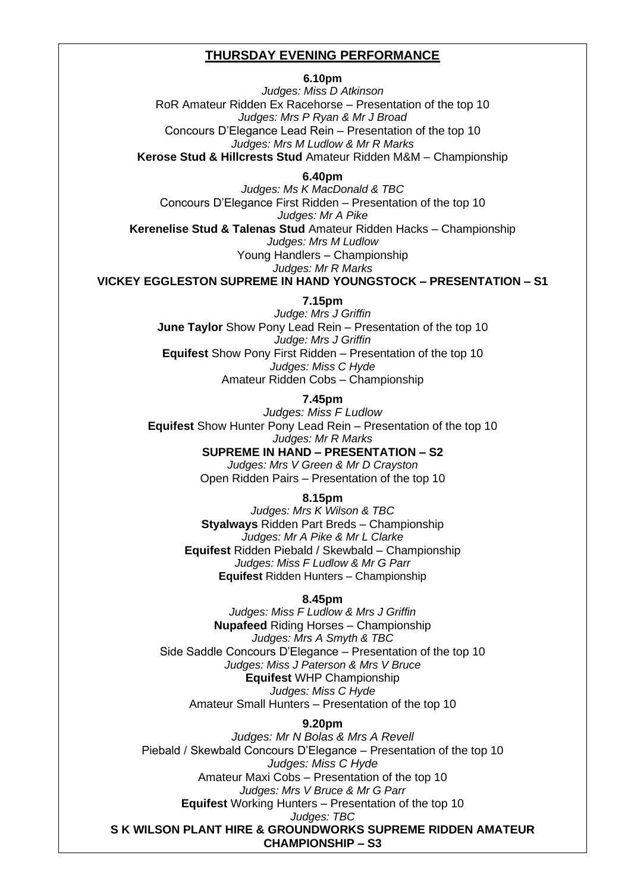# **THURSDAY EVENING PERFORMANCE**

#### **6.10pm**

*Judges: Miss D Atkinson* RoR Amateur Ridden Ex Racehorse – Presentation of the top 10 *Judges: Mrs P Ryan & Mr J Broad* Concours D'Elegance Lead Rein – Presentation of the top 10 *Judges: Mrs M Ludlow & Mr R Marks* **Kerose Stud & Hillcrests Stud** Amateur Ridden M&M – Championship

**6.40pm**

*Judges: Ms K MacDonald & TBC* Concours D'Elegance First Ridden – Presentation of the top 10 *Judges: Mr A Pike* **Kerenelise Stud & Talenas Stud** Amateur Ridden Hacks – Championship *Judges: Mrs M Ludlow* Young Handlers – Championship *Judges: Mr R Marks*

**VICKEY EGGLESTON SUPREME IN HAND YOUNGSTOCK – PRESENTATION – S1**

**7.15pm**

*Judge: Mrs J Griffin* **June Taylor** Show Pony Lead Rein – Presentation of the top 10 *Judge: Mrs J Griffin* **Equifest** Show Pony First Ridden – Presentation of the top 10 *Judges: Miss C Hyde* Amateur Ridden Cobs – Championship

**7.45pm**

*Judges: Miss F Ludlow* **Equifest** Show Hunter Pony Lead Rein – Presentation of the top 10 *Judges: Mr R Marks* **SUPREME IN HAND – PRESENTATION – S2** 

*Judges: Mrs V Green & Mr D Crayston* Open Ridden Pairs – Presentation of the top 10

**8.15pm**

*Judges: Mrs K Wilson & TBC* **Styalways** Ridden Part Breds – Championship *Judges: Mr A Pike & Mr L Clarke* **Equifest** Ridden Piebald / Skewbald – Championship *Judges: Miss F Ludlow & Mr G Parr* **Equifest** Ridden Hunters – Championship

# **8.45pm**

*Judges: Miss F Ludlow & Mrs J Griffin* **Nupafeed** Riding Horses – Championship *Judges: Mrs A Smyth & TBC* Side Saddle Concours D'Elegance – Presentation of the top 10 *Judges: Miss J Paterson & Mrs V Bruce* **Equifest** WHP Championship *Judges: Miss C Hyde* Amateur Small Hunters – Presentation of the top 10

#### **9.20pm**

*Judges: Mr N Bolas & Mrs A Revell* Piebald / Skewbald Concours D'Elegance – Presentation of the top 10 *Judges: Miss C Hyde* Amateur Maxi Cobs – Presentation of the top 10 *Judges: Mrs V Bruce & Mr G Parr* **Equifest** Working Hunters – Presentation of the top 10 *Judges: TBC* **S K WILSON PLANT HIRE & GROUNDWORKS SUPREME RIDDEN AMATEUR CHAMPIONSHIP – S3**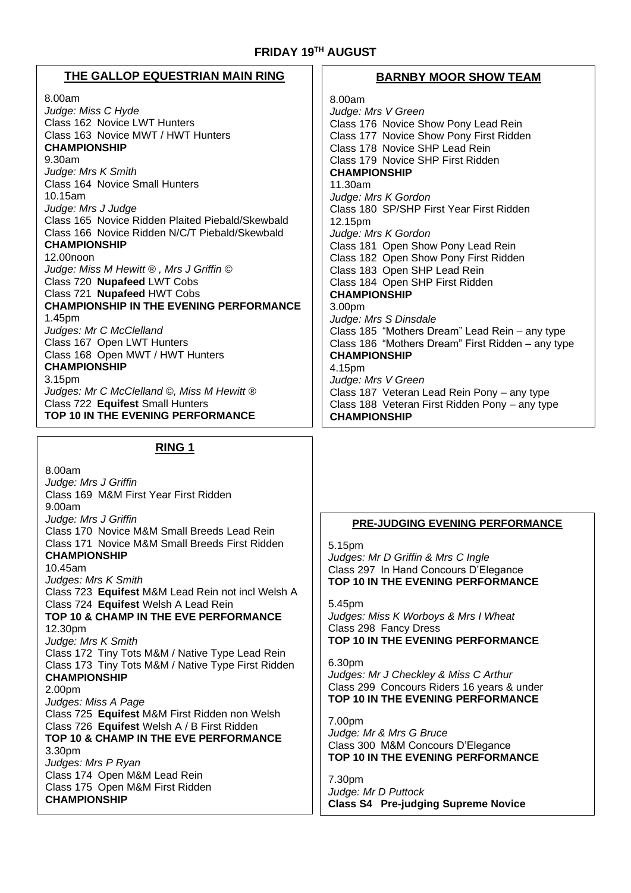# **FRIDAY 19TH AUGUST**

# **THE GALLOP EQUESTRIAN MAIN RING**

#### 8.00am *Judge: Miss C Hyde* Class 162 Novice LWT Hunters Class 163 Novice MWT / HWT Hunters **CHAMPIONSHIP** 9.30am *Judge: Mrs K Smith* Class 164 Novice Small Hunters 10.15am *Judge: Mrs J Judge* Class 165 Novice Ridden Plaited Piebald/Skewbald Class 166 Novice Ridden N/C/T Piebald/Skewbald **CHAMPIONSHIP** 12.00noon *Judge: Miss M Hewitt ® , Mrs J Griffin ©* Class 720 **Nupafeed** LWT Cobs Class 721 **Nupafeed** HWT Cobs **CHAMPIONSHIP IN THE EVENING PERFORMANCE** 1.45pm *Judges: Mr C McClelland* Class 167 Open LWT Hunters Class 168 Open MWT / HWT Hunters **CHAMPIONSHIP** 3.15pm *Judges: Mr C McClelland ©, Miss M Hewitt ®* Class 722 **Equifest** Small Hunters **TOP 10 IN THE EVENING PERFORMANCE**

# **RING 1**

8.00am *Judge: Mrs J Griffin*  Class 169 M&M First Year First Ridden 9.00am *Judge: Mrs J Griffin*  Class 170 Novice M&M Small Breeds Lead Rein Class 171 Novice M&M Small Breeds First Ridden **CHAMPIONSHIP**  10.45am *Judges: Mrs K Smith*  Class 723 **Equifest** M&M Lead Rein not incl Welsh A Class 724 **Equifest** Welsh A Lead Rein **TOP 10 & CHAMP IN THE EVE PERFORMANCE** 12.30pm *Judge: Mrs K Smith*  Class 172 Tiny Tots M&M / Native Type Lead Rein Class 173 Tiny Tots M&M / Native Type First Ridden **CHAMPIONSHIP** 2.00pm *Judges: Miss A Page*  Class 725 **Equifest** M&M First Ridden non Welsh Class 726 **Equifest** Welsh A / B First Ridden **TOP 10 & CHAMP IN THE EVE PERFORMANCE** 3.30pm *Judges: Mrs P Ryan*  Class 174 Open M&M Lead Rein Class 175 Open M&M First Ridden **CHAMPIONSHIP**

#### **BARNBY MOOR SHOW TEAM**

8.00am *Judge: Mrs V Green* Class 176 Novice Show Pony Lead Rein Class 177 Novice Show Pony First Ridden Class 178 Novice SHP Lead Rein Class 179 Novice SHP First Ridden **CHAMPIONSHIP** 11.30am *Judge: Mrs K Gordon* Class 180 SP/SHP First Year First Ridden 12.15pm *Judge: Mrs K Gordon* Class 181 Open Show Pony Lead Rein Class 182 Open Show Pony First Ridden Class 183 Open SHP Lead Rein Class 184 Open SHP First Ridden **CHAMPIONSHIP**  3.00pm *Judge: Mrs S Dinsdale*  Class 185 "Mothers Dream" Lead Rein – any type Class 186 "Mothers Dream" First Ridden – any type **CHAMPIONSHIP** 4.15pm *Judge: Mrs V Green* Class 187 Veteran Lead Rein Pony – any type Class 188 Veteran First Ridden Pony – any type **CHAMPIONSHIP**

#### **PRE-JUDGING EVENING PERFORMANCE**

5.15pm *Judges: Mr D Griffin & Mrs C Ingle* Class 297 In Hand Concours D'Elegance **TOP 10 IN THE EVENING PERFORMANCE**

5.45pm *Judges: Miss K Worboys & Mrs I Wheat*  Class 298 Fancy Dress **TOP 10 IN THE EVENING PERFORMANCE**

6.30pm *Judges: Mr J Checkley & Miss C Arthur*  Class 299 Concours Riders 16 years & under **TOP 10 IN THE EVENING PERFORMANCE**

7.00pm *Judge: Mr & Mrs G Bruce*  Class 300 M&M Concours D'Elegance **TOP 10 IN THE EVENING PERFORMANCE**

7.30pm *Judge: Mr D Puttock*  **Class S4 Pre-judging Supreme Novice**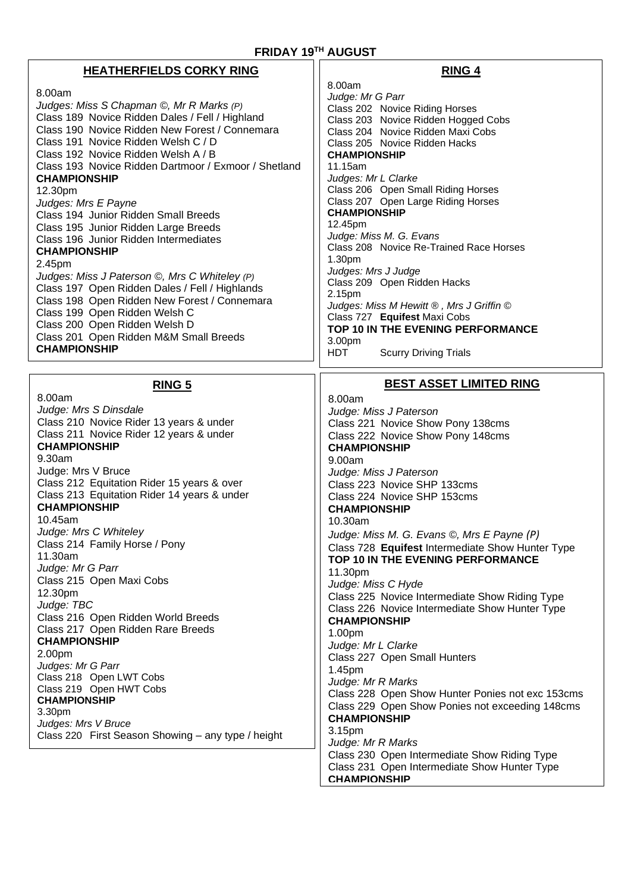# **FRIDAY 19TH AUGUST**

# **HEATHERFIELDS CORKY RING**

#### 8.00am *Judges: Miss S Chapman ©, Mr R Marks (P)* Class 189 Novice Ridden Dales / Fell / Highland Class 190 Novice Ridden New Forest / Connemara Class 191 Novice Ridden Welsh C / D Class 192 Novice Ridden Welsh A / B Class 193 Novice Ridden Dartmoor / Exmoor / Shetland **CHAMPIONSHIP** 12.30pm *Judges: Mrs E Payne*  Class 194 Junior Ridden Small Breeds Class 195 Junior Ridden Large Breeds Class 196 Junior Ridden Intermediates **CHAMPIONSHIP**  2.45pm *Judges: Miss J Paterson ©, Mrs C Whiteley (P)* Class 197 Open Ridden Dales / Fell / Highlands Class 198 Open Ridden New Forest / Connemara Class 199 Open Ridden Welsh C

Class 200 Open Ridden Welsh D Class 201 Open Ridden M&M Small Breeds **CHAMPIONSHIP**

**RING 5**

8.00am *Judge: Mrs S Dinsdale*  Class 210 Novice Rider 13 years & under Class 211 Novice Rider 12 years & under **CHAMPIONSHIP** 9.30am Judge: Mrs V Bruce Class 212 Equitation Rider 15 years & over Class 213 Equitation Rider 14 years & under **CHAMPIONSHIP** 10.45am *Judge: Mrs C Whiteley* Class 214 Family Horse / Pony 11.30am *Judge: Mr G Parr* Class 215 Open Maxi Cobs 12.30pm *Judge: TBC* Class 216 Open Ridden World Breeds Class 217 Open Ridden Rare Breeds **CHAMPIONSHIP** 2.00pm *Judges: Mr G Parr* Class 218 Open LWT Cobs Class 219 Open HWT Cobs **CHAMPIONSHIP**  3.30pm *Judges: Mrs V Bruce* Class 220 First Season Showing – any type / height

#### **RING 4**

8.00am *Judge: Mr G Parr* Class 202 Novice Riding Horses Class 203 Novice Ridden Hogged Cobs Class 204 Novice Ridden Maxi Cobs Class 205 Novice Ridden Hacks **CHAMPIONSHIP** 11.15am *Judges: Mr L Clarke* Class 206 Open Small Riding Horses Class 207 Open Large Riding Horses **CHAMPIONSHIP**  12.45pm *Judge: Miss M. G. Evans* Class 208 Novice Re-Trained Race Horses 1.30pm *Judges: Mrs J Judge* Class 209 Open Ridden Hacks 2.15pm *Judges: Miss M Hewitt ® , Mrs J Griffin ©* Class 727 **Equifest** Maxi Cobs **TOP 10 IN THE EVENING PERFORMANCE** 3.00pm HDT Scurry Driving Trials

# **BEST ASSET LIMITED RING**

8.00am *Judge: Miss J Paterson* Class 221 Novice Show Pony 138cms Class 222 Novice Show Pony 148cms **CHAMPIONSHIP**  9.00am *Judge: Miss J Paterson* Class 223 Novice SHP 133cms Class 224 Novice SHP 153cms **CHAMPIONSHIP**  10.30am *Judge: Miss M. G. Evans ©, Mrs E Payne (P)* Class 728 **Equifest** Intermediate Show Hunter Type **TOP 10 IN THE EVENING PERFORMANCE** 11.30pm *Judge: Miss C Hyde* Class 225 Novice Intermediate Show Riding Type Class 226 Novice Intermediate Show Hunter Type **CHAMPIONSHIP**  1.00pm *Judge: Mr L Clarke* Class 227 Open Small Hunters 1.45pm *Judge: Mr R Marks*  Class 228 Open Show Hunter Ponies not exc 153cms Class 229 Open Show Ponies not exceeding 148cms **CHAMPIONSHIP** 3.15pm *Judge: Mr R Marks*  Class 230 Open Intermediate Show Riding Type Class 231 Open Intermediate Show Hunter Type **CHAMPIONSHIP**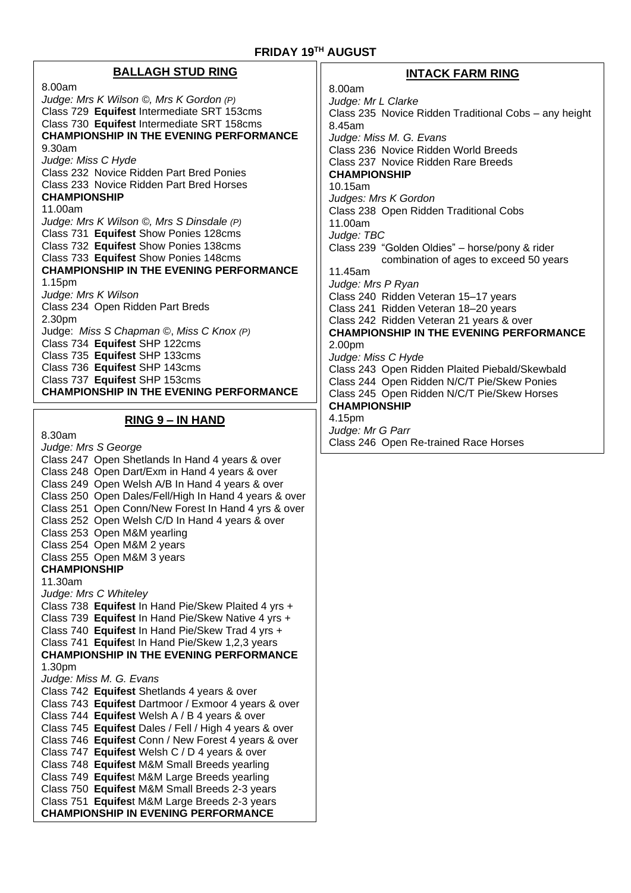# **BALLAGH STUD RING**

8.00am *Judge: Mrs K Wilson ©, Mrs K Gordon (P)* Class 729 **Equifest** Intermediate SRT 153cms Class 730 **Equifest** Intermediate SRT 158cms **CHAMPIONSHIP IN THE EVENING PERFORMANCE** 9.30am *Judge: Miss C Hyde* Class 232 Novice Ridden Part Bred Ponies Class 233 Novice Ridden Part Bred Horses **CHAMPIONSHIP** 11.00am *Judge: Mrs K Wilson ©, Mrs S Dinsdale (P)* Class 731 **Equifest** Show Ponies 128cms Class 732 **Equifest** Show Ponies 138cms Class 733 **Equifest** Show Ponies 148cms **CHAMPIONSHIP IN THE EVENING PERFORMANCE** 1.15pm *Judge: Mrs K Wilson* Class 234 Open Ridden Part Breds 2.30pm Judge: *Miss S Chapman ©*, *Miss C Knox (P)* Class 734 **Equifest** SHP 122cms Class 735 **Equifest** SHP 133cms Class 736 **Equifest** SHP 143cms Class 737 **Equifest** SHP 153cms **CHAMPIONSHIP IN THE EVENING PERFORMANCE**

# **RING 9 – IN HAND**

8.30am *Judge: Mrs S George*  Class 247 Open Shetlands In Hand 4 years & over Class 248 Open Dart/Exm in Hand 4 years & over Class 249 Open Welsh A/B In Hand 4 years & over Class 250 Open Dales/Fell/High In Hand 4 years & over Class 251 Open Conn/New Forest In Hand 4 yrs & over Class 252 Open Welsh C/D In Hand 4 years & over Class 253 Open M&M yearling Class 254 Open M&M 2 years Class 255 Open M&M 3 years **CHAMPIONSHIP** 11.30am *Judge: Mrs C Whiteley* Class 738 **Equifest** In Hand Pie/Skew Plaited 4 yrs + Class 739 **Equifest** In Hand Pie/Skew Native 4 yrs + Class 740 **Equifest** In Hand Pie/Skew Trad 4 yrs + Class 741 **Equifes**t In Hand Pie/Skew 1,2,3 years **CHAMPIONSHIP IN THE EVENING PERFORMANCE** 1.30pm *Judge: Miss M. G. Evans* Class 742 **Equifest** Shetlands 4 years & over Class 743 **Equifest** Dartmoor / Exmoor 4 years & over Class 744 **Equifest** Welsh A / B 4 years & over Class 745 **Equifest** Dales / Fell / High 4 years & over Class 746 **Equifest** Conn / New Forest 4 years & over Class 747 **Equifest** Welsh C / D 4 years & over Class 748 **Equifest** M&M Small Breeds yearling Class 749 **Equifes**t M&M Large Breeds yearling Class 750 **Equifest** M&M Small Breeds 2-3 years Class 751 **Equifes**t M&M Large Breeds 2-3 years **CHAMPIONSHIP IN EVENING PERFORMANCE**

# **INTACK FARM RING**

8.00am *Judge: Mr L Clarke* Class 235 Novice Ridden Traditional Cobs – any height 8.45am *Judge: Miss M. G. Evans* Class 236 Novice Ridden World Breeds Class 237 Novice Ridden Rare Breeds **CHAMPIONSHIP** 10.15am *Judges: Mrs K Gordon* Class 238 Open Ridden Traditional Cobs 11.00am *Judge: TBC* Class 239 "Golden Oldies" – horse/pony & rider combination of ages to exceed 50 years 11.45am *Judge: Mrs P Ryan* Class 240 Ridden Veteran 15–17 years Class 241 Ridden Veteran 18–20 years Class 242 Ridden Veteran 21 years & over **CHAMPIONSHIP IN THE EVENING PERFORMANCE** 2.00pm *Judge: Miss C Hyde*  Class 243 Open Ridden Plaited Piebald/Skewbald Class 244 Open Ridden N/C/T Pie/Skew Ponies Class 245 Open Ridden N/C/T Pie/Skew Horses **CHAMPIONSHIP** 4.15pm

*Judge: Mr G Parr*  Class 246 Open Re-trained Race Horses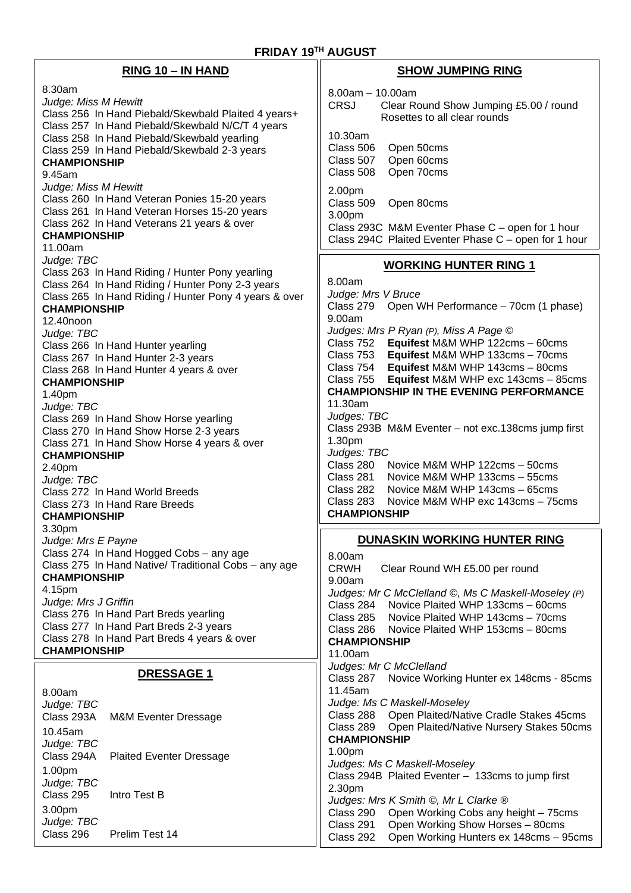| RING 10 - IN HAND                                                                                                                                                                | <b>SHOW JUMPING RING</b>                                                                                                                                                     |
|----------------------------------------------------------------------------------------------------------------------------------------------------------------------------------|------------------------------------------------------------------------------------------------------------------------------------------------------------------------------|
| 8.30am<br>Judge: Miss M Hewitt<br>Class 256 In Hand Piebald/Skewbald Plaited 4 years+                                                                                            | $8.00am - 10.00am$<br><b>CRSJ</b><br>Clear Round Show Jumping £5.00 / round<br>Rosettes to all clear rounds                                                                  |
| Class 257 In Hand Piebald/Skewbald N/C/T 4 years<br>Class 258 In Hand Piebald/Skewbald yearling<br>Class 259 In Hand Piebald/Skewbald 2-3 years<br><b>CHAMPIONSHIP</b><br>9.45am | 10.30am<br>Class 506<br>Open 50cms<br>Open 60cms<br>Class 507<br>Open 70cms<br>Class 508                                                                                     |
| Judge: Miss M Hewitt<br>Class 260 In Hand Veteran Ponies 15-20 years<br>Class 261 In Hand Veteran Horses 15-20 years<br>Class 262 In Hand Veterans 21 years & over               | 2.00pm<br>Class 509<br>Open 80cms<br>3.00pm<br>Class 293C M&M Eventer Phase C - open for 1 hour                                                                              |
| <b>CHAMPIONSHIP</b><br>11.00am                                                                                                                                                   | Class 294C Plaited Eventer Phase C - open for 1 hour                                                                                                                         |
| Judge: TBC<br>Class 263 In Hand Riding / Hunter Pony yearling<br>Class 264 In Hand Riding / Hunter Pony 2-3 years<br>Class 265 In Hand Riding / Hunter Pony 4 years & over       | <b>WORKING HUNTER RING 1</b><br>8.00am<br>Judge: Mrs V Bruce                                                                                                                 |
| <b>CHAMPIONSHIP</b><br>12.40noon                                                                                                                                                 | Class 279<br>Open WH Performance - 70cm (1 phase)<br>9.00am                                                                                                                  |
| Judge: TBC<br>Class 266 In Hand Hunter yearling<br>Class 267 In Hand Hunter 2-3 years<br>Class 268 In Hand Hunter 4 years & over                                                 | Judges: Mrs P Ryan (P), Miss A Page ©<br>Class 752 Equifest M&M WHP 122cms - 60cms<br>Class 753 Equifest M&M WHP 133cms - 70cms<br>Class 754 Equifest M&M WHP 143cms - 80cms |
| <b>CHAMPIONSHIP</b><br>1.40pm<br>Judge: TBC                                                                                                                                      | Equifest M&M WHP exc 143cms - 85cms<br>Class 755<br><b>CHAMPIONSHIP IN THE EVENING PERFORMANCE</b><br>11.30am                                                                |
| Class 269 In Hand Show Horse yearling<br>Class 270 In Hand Show Horse 2-3 years<br>Class 271 In Hand Show Horse 4 years & over                                                   | Judges: TBC<br>Class 293B M&M Eventer - not exc.138cms jump first<br>1.30pm                                                                                                  |
| <b>CHAMPIONSHIP</b><br>2.40pm<br>Judge: TBC                                                                                                                                      | Judges: TBC<br>Class 280<br>Novice M&M WHP 122cms - 50cms<br>Class 281<br>Novice M&M WHP 133cms - 55cms                                                                      |
| Class 272 In Hand World Breeds<br>Class 273 In Hand Rare Breeds<br><b>CHAMPIONSHIP</b>                                                                                           | Class 282<br>Novice M&M WHP 143cms - 65cms<br>Class 283<br>Novice M&M WHP exc 143cms - 75cms<br><b>CHAMPIONSHIP</b>                                                          |
| 3.30pm<br>Judge: Mrs E Payne                                                                                                                                                     | DUNASKIN WORKING HUNTER RING                                                                                                                                                 |
| Class 274 In Hand Hogged Cobs - any age<br>Class 275 In Hand Native/ Traditional Cobs - any age<br><b>CHAMPIONSHIP</b>                                                           | 8.00am<br><b>CRWH</b><br>Clear Round WH £5.00 per round<br>9.00am                                                                                                            |
| 4.15pm<br>Judge: Mrs J Griffin<br>Class 276 In Hand Part Breds yearling                                                                                                          | Judges: Mr C McClelland ©, Ms C Maskell-Moseley (P)<br>Class 284 Novice Plaited WHP 133cms - 60cms<br>Class 285<br>Novice Plaited WHP 143cms - 70cms                         |
| Class 277 In Hand Part Breds 2-3 years<br>Class 278 In Hand Part Breds 4 years & over<br><b>CHAMPIONSHIP</b>                                                                     | Class 286<br>Novice Plaited WHP 153cms - 80cms<br><b>CHAMPIONSHIP</b><br>11.00am                                                                                             |
| <b>DRESSAGE 1</b>                                                                                                                                                                | Judges: Mr C McClelland<br>Novice Working Hunter ex 148cms - 85cms<br>Class 287                                                                                              |
| 8.00am<br>Judge: TBC                                                                                                                                                             | 11.45am<br>Judge: Ms C Maskell-Moseley                                                                                                                                       |
| Class 293A<br><b>M&amp;M Eventer Dressage</b><br>10.45am<br>Judge: TBC                                                                                                           | Class 288 Open Plaited/Native Cradle Stakes 45cms<br>Open Plaited/Native Nursery Stakes 50cms<br>Class 289<br><b>CHAMPIONSHIP</b>                                            |
| Class 294A<br><b>Plaited Eventer Dressage</b><br>1.00pm                                                                                                                          | 1.00pm<br>Judges: Ms C Maskell-Moseley<br>Class 294B Plaited Eventer - 133cms to jump first                                                                                  |
| Judge: TBC<br>Class 295<br>Intro Test B<br>3.00pm                                                                                                                                | 2.30pm<br>Judges: Mrs K Smith ©, Mr L Clarke ®<br>Open Working Cobs any height - 75cms<br>Class 290                                                                          |
| Judge: TBC<br>Class 296<br>Prelim Test 14                                                                                                                                        | Open Working Show Horses - 80cms<br>Class 291<br>Class 292<br>Open Working Hunters ex 148cms - 95cms                                                                         |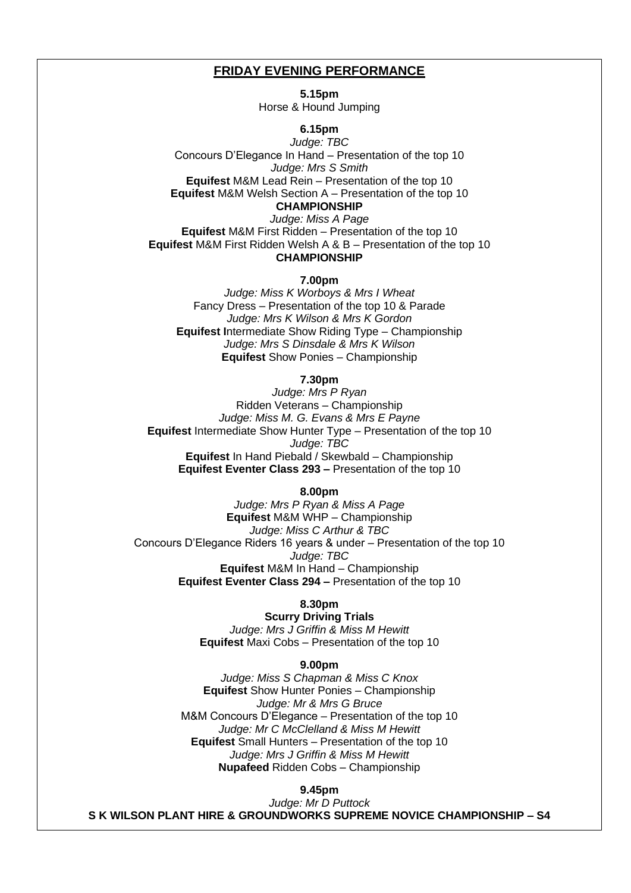#### **FRIDAY EVENING PERFORMANCE**

**5.15pm** Horse & Hound Jumping

**6.15pm**

*Judge: TBC* Concours D'Elegance In Hand – Presentation of the top 10 *Judge: Mrs S Smith*  **Equifest** M&M Lead Rein – Presentation of the top 10 **Equifest** M&M Welsh Section A – Presentation of the top 10 **CHAMPIONSHIP**

*Judge: Miss A Page* **Equifest** M&M First Ridden – Presentation of the top 10 **Equifest** M&M First Ridden Welsh A & B – Presentation of the top 10 **CHAMPIONSHIP**

**7.00pm**

*Judge: Miss K Worboys & Mrs I Wheat* Fancy Dress – Presentation of the top 10 & Parade *Judge: Mrs K Wilson & Mrs K Gordon* **Equifest I**ntermediate Show Riding Type – Championship *Judge: Mrs S Dinsdale & Mrs K Wilson* **Equifest** Show Ponies – Championship

#### **7.30pm**

*Judge: Mrs P Ryan* Ridden Veterans – Championship *Judge: Miss M. G. Evans & Mrs E Payne* **Equifest** Intermediate Show Hunter Type – Presentation of the top 10 *Judge: TBC* **Equifest** In Hand Piebald / Skewbald – Championship **Equifest Eventer Class 293 –** Presentation of the top 10

#### **8.00pm**

*Judge: Mrs P Ryan & Miss A Page*  **Equifest** M&M WHP – Championship *Judge: Miss C Arthur & TBC* Concours D'Elegance Riders 16 years & under – Presentation of the top 10 *Judge: TBC* **Equifest** M&M In Hand – Championship **Equifest Eventer Class 294 –** Presentation of the top 10

#### **8.30pm**

**Scurry Driving Trials** *Judge: Mrs J Griffin & Miss M Hewitt* **Equifest** Maxi Cobs – Presentation of the top 10

#### **9.00pm**

*Judge: Miss S Chapman & Miss C Knox* **Equifest** Show Hunter Ponies – Championship *Judge: Mr & Mrs G Bruce* M&M Concours D'Elegance – Presentation of the top 10 *Judge: Mr C McClelland & Miss M Hewitt*  **Equifest** Small Hunters – Presentation of the top 10 *Judge: Mrs J Griffin & Miss M Hewitt* **Nupafeed** Ridden Cobs – Championship

### **9.45pm**

*Judge: Mr D Puttock* **S K WILSON PLANT HIRE & GROUNDWORKS SUPREME NOVICE CHAMPIONSHIP – S4**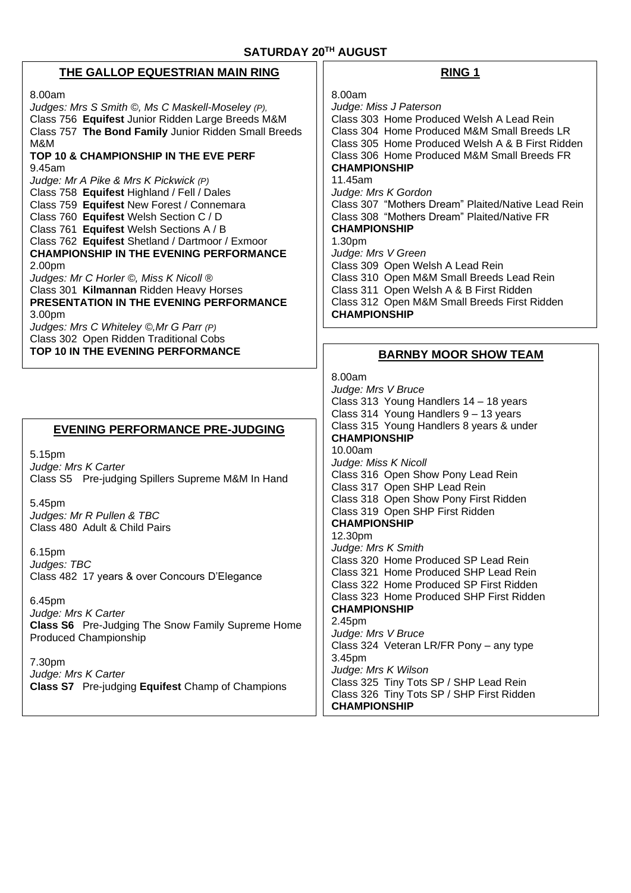# **THE GALLOP EQUESTRIAN MAIN RING**

8.00am

*Judges: Mrs S Smith ©, Ms C Maskell-Moseley (P),*  Class 756 **Equifest** Junior Ridden Large Breeds M&M Class 757 **The Bond Family** Junior Ridden Small Breeds M&M **TOP 10 & CHAMPIONSHIP IN THE EVE PERF** 9.45am *Judge: Mr A Pike & Mrs K Pickwick (P)* Class 758 **Equifest** Highland / Fell / Dales Class 759 **Equifest** New Forest / Connemara Class 760 **Equifest** Welsh Section C / D Class 761 **Equifest** Welsh Sections A / B Class 762 **Equifest** Shetland / Dartmoor / Exmoor **CHAMPIONSHIP IN THE EVENING PERFORMANCE** 2.00pm *Judges: Mr C Horler ©, Miss K Nicoll ®* Class 301 **Kilmannan** Ridden Heavy Horses **PRESENTATION IN THE EVENING PERFORMANCE** 3.00pm *Judges: Mrs C Whiteley ©,Mr G Parr (P)* Class 302 Open Ridden Traditional Cobs **TOP 10 IN THE EVENING PERFORMANCE**

# **EVENING PERFORMANCE PRE-JUDGING**

5.15pm *Judge: Mrs K Carter* Class S5 Pre-judging Spillers Supreme M&M In Hand

5.45pm *Judges: Mr R Pullen & TBC* Class 480 Adult & Child Pairs

6.15pm *Judges: TBC* Class 482 17 years & over Concours D'Elegance

6.45pm *Judge: Mrs K Carter* **Class S6** Pre-Judging The Snow Family Supreme Home Produced Championship

7.30pm *Judge: Mrs K Carter* **Class S7** Pre-judging **Equifest** Champ of Champions

# **RING 1**

8.00am *Judge: Miss J Paterson*  Class 303 Home Produced Welsh A Lead Rein Class 304 Home Produced M&M Small Breeds LR Class 305 Home Produced Welsh A & B First Ridden Class 306 Home Produced M&M Small Breeds FR **CHAMPIONSHIP** 11.45am *Judge: Mrs K Gordon* Class 307 "Mothers Dream" Plaited/Native Lead Rein Class 308 "Mothers Dream" Plaited/Native FR **CHAMPIONSHIP** 1.30pm *Judge: Mrs V Green* Class 309 Open Welsh A Lead Rein Class 310 Open M&M Small Breeds Lead Rein Class 311 Open Welsh A & B First Ridden Class 312 Open M&M Small Breeds First Ridden **CHAMPIONSHIP**

# **BARNBY MOOR SHOW TEAM**

8.00am *Judge: Mrs V Bruce* Class 313 Young Handlers 14 – 18 years Class 314 Young Handlers 9 – 13 years Class 315 Young Handlers 8 years & under **CHAMPIONSHIP** 10.00am *Judge: Miss K Nicoll* Class 316 Open Show Pony Lead Rein Class 317 Open SHP Lead Rein Class 318 Open Show Pony First Ridden Class 319 Open SHP First Ridden **CHAMPIONSHIP** 12.30pm *Judge: Mrs K Smith*  Class 320 Home Produced SP Lead Rein Class 321 Home Produced SHP Lead Rein Class 322 Home Produced SP First Ridden Class 323 Home Produced SHP First Ridden **CHAMPIONSHIP** 2.45pm *Judge: Mrs V Bruce* Class 324 Veteran LR/FR Pony – any type 3.45pm *Judge: Mrs K Wilson*  Class 325 Tiny Tots SP / SHP Lead Rein Class 326 Tiny Tots SP / SHP First Ridden **CHAMPIONSHIP**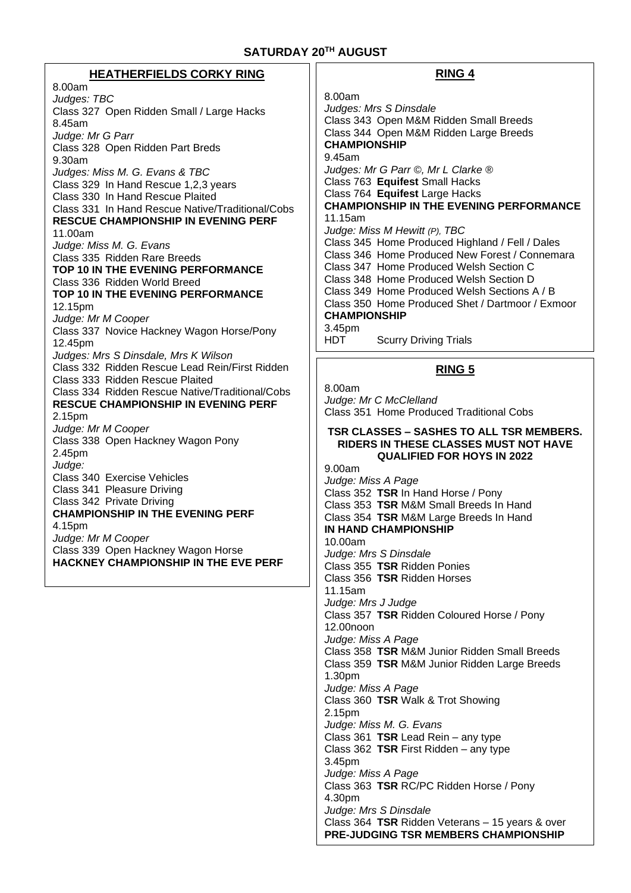# **SATURDAY 20 TH AUGUST**

| <b>HEATHERFIELDS CORKY RING</b>                                                                                                                                                                                                                                                                                                                                                                                                                                                                                                                                                                                                            | <b>RING 4</b>                                                                                                                                                                                                                                                                                                                                                                                                                                                                                                                                                                                                                                                                                                                                                                                                                                                                                                                                                                                                                                                                                                                                               |
|--------------------------------------------------------------------------------------------------------------------------------------------------------------------------------------------------------------------------------------------------------------------------------------------------------------------------------------------------------------------------------------------------------------------------------------------------------------------------------------------------------------------------------------------------------------------------------------------------------------------------------------------|-------------------------------------------------------------------------------------------------------------------------------------------------------------------------------------------------------------------------------------------------------------------------------------------------------------------------------------------------------------------------------------------------------------------------------------------------------------------------------------------------------------------------------------------------------------------------------------------------------------------------------------------------------------------------------------------------------------------------------------------------------------------------------------------------------------------------------------------------------------------------------------------------------------------------------------------------------------------------------------------------------------------------------------------------------------------------------------------------------------------------------------------------------------|
| 8.00am<br>Judges: TBC<br>Class 327 Open Ridden Small / Large Hacks<br>8.45am<br>Judge: Mr G Parr<br>Class 328 Open Ridden Part Breds<br>9.30am<br>Judges: Miss M. G. Evans & TBC<br>Class 329 In Hand Rescue 1,2,3 years<br>Class 330 In Hand Rescue Plaited<br>Class 331 In Hand Rescue Native/Traditional/Cobs<br><b>RESCUE CHAMPIONSHIP IN EVENING PERF</b><br>11.00am<br>Judge: Miss M. G. Evans<br>Class 335 Ridden Rare Breeds<br><b>TOP 10 IN THE EVENING PERFORMANCE</b><br>Class 336 Ridden World Breed<br><b>TOP 10 IN THE EVENING PERFORMANCE</b><br>12.15pm<br>Judge: Mr M Cooper<br>Class 337 Novice Hackney Wagon Horse/Pony | 8.00am<br>Judges: Mrs S Dinsdale<br>Class 343 Open M&M Ridden Small Breeds<br>Class 344 Open M&M Ridden Large Breeds<br><b>CHAMPIONSHIP</b><br>9.45am<br>Judges: Mr G Parr ©, Mr L Clarke ®<br>Class 763 Equifest Small Hacks<br>Class 764 Equifest Large Hacks<br><b>CHAMPIONSHIP IN THE EVENING PERFORMANCE</b><br>11.15am<br>Judge: Miss M Hewitt (P), TBC<br>Class 345 Home Produced Highland / Fell / Dales<br>Class 346 Home Produced New Forest / Connemara<br>Class 347 Home Produced Welsh Section C<br>Class 348 Home Produced Welsh Section D<br>Class 349 Home Produced Welsh Sections A / B<br>Class 350 Home Produced Shet / Dartmoor / Exmoor<br><b>CHAMPIONSHIP</b><br>3.45pm<br><b>HDT</b><br><b>Scurry Driving Trials</b>                                                                                                                                                                                                                                                                                                                                                                                                                 |
| 12.45pm<br>Judges: Mrs S Dinsdale, Mrs K Wilson                                                                                                                                                                                                                                                                                                                                                                                                                                                                                                                                                                                            |                                                                                                                                                                                                                                                                                                                                                                                                                                                                                                                                                                                                                                                                                                                                                                                                                                                                                                                                                                                                                                                                                                                                                             |
| Class 332 Ridden Rescue Lead Rein/First Ridden<br>Class 333 Ridden Rescue Plaited<br>Class 334 Ridden Rescue Native/Traditional/Cobs<br><b>RESCUE CHAMPIONSHIP IN EVENING PERF</b><br>2.15pm<br>Judge: Mr M Cooper<br>Class 338 Open Hackney Wagon Pony<br>2.45pm<br>Judge:<br>Class 340 Exercise Vehicles<br>Class 341 Pleasure Driving<br>Class 342 Private Driving<br><b>CHAMPIONSHIP IN THE EVENING PERF</b><br>4.15pm<br>Judge: Mr M Cooper<br>Class 339 Open Hackney Wagon Horse<br><b>HACKNEY CHAMPIONSHIP IN THE EVE PERF</b>                                                                                                      | <b>RING 5</b><br>8.00am<br>Judge: Mr C McClelland<br>Class 351 Home Produced Traditional Cobs<br>TSR CLASSES - SASHES TO ALL TSR MEMBERS.<br>RIDERS IN THESE CLASSES MUST NOT HAVE<br><b>QUALIFIED FOR HOYS IN 2022</b><br>9.00am<br>Judge: Miss A Page<br>Class 352 TSR In Hand Horse / Pony<br>Class 353 TSR M&M Small Breeds In Hand<br>Class 354 TSR M&M Large Breeds In Hand<br><b>IN HAND CHAMPIONSHIP</b><br>10.00am<br>Judge: Mrs S Dinsdale<br>Class 355 TSR Ridden Ponies<br>Class 356 TSR Ridden Horses<br>11.15am<br>Judge: Mrs J Judge<br>Class 357 TSR Ridden Coloured Horse / Pony<br>12.00 <sub>noon</sub><br>Judge: Miss A Page<br>Class 358 TSR M&M Junior Ridden Small Breeds<br>Class 359 TSR M&M Junior Ridden Large Breeds<br>1.30pm<br>Judge: Miss A Page<br>Class 360 TSR Walk & Trot Showing<br>2.15pm<br>Judge: Miss M. G. Evans<br>Class 361 TSR Lead Rein - any type<br>Class 362 TSR First Ridden $-$ any type<br>3.45pm<br>Judge: Miss A Page<br>Class 363 TSR RC/PC Ridden Horse / Pony<br>4.30pm<br>Judge: Mrs S Dinsdale<br>Class 364 TSR Ridden Veterans - 15 years & over<br><b>PRE-JUDGING TSR MEMBERS CHAMPIONSHIP</b> |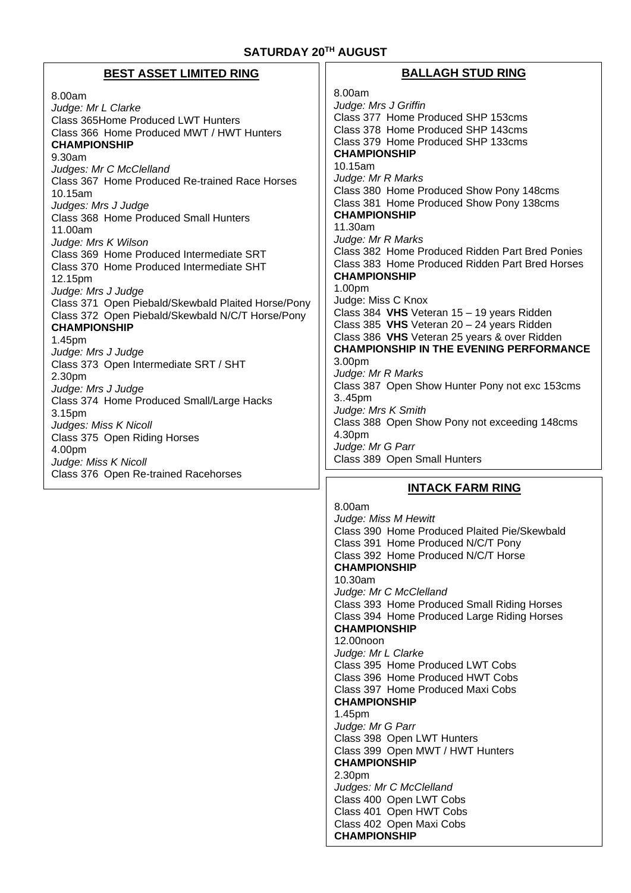# **SATURDAY 20 TH AUGUST**

# **BEST ASSET LIMITED RING**

8.00am *Judge: Mr L Clarke* Class 365Home Produced LWT Hunters Class 366 Home Produced MWT / HWT Hunters **CHAMPIONSHIP** 9.30am *Judges: Mr C McClelland* Class 367 Home Produced Re-trained Race Horses 10.15am *Judges: Mrs J Judge* Class 368 Home Produced Small Hunters 11.00am *Judge: Mrs K Wilson*  Class 369 Home Produced Intermediate SRT Class 370 Home Produced Intermediate SHT 12.15pm *Judge: Mrs J Judge* Class 371 Open Piebald/Skewbald Plaited Horse/Pony Class 372 Open Piebald/Skewbald N/C/T Horse/Pony **CHAMPIONSHIP** 1.45pm *Judge: Mrs J Judge* Class 373 Open Intermediate SRT / SHT 2.30pm *Judge: Mrs J Judge*  Class 374 Home Produced Small/Large Hacks 3.15pm *Judges: Miss K Nicoll* Class 375 Open Riding Horses 4.00pm *Judge: Miss K Nicoll* Class 376 Open Re-trained Racehorses

# **BALLAGH STUD RING**

8.00am *Judge: Mrs J Griffin*  Class 377 Home Produced SHP 153cms Class 378 Home Produced SHP 143cms Class 379 Home Produced SHP 133cms **CHAMPIONSHIP** 10.15am *Judge: Mr R Marks* Class 380 Home Produced Show Pony 148cms Class 381 Home Produced Show Pony 138cms **CHAMPIONSHIP** 11.30am *Judge: Mr R Marks* Class 382 Home Produced Ridden Part Bred Ponies Class 383 Home Produced Ridden Part Bred Horses **CHAMPIONSHIP** 1.00pm Judge: Miss C Knox Class 384 **VHS** Veteran 15 – 19 years Ridden Class 385 **VHS** Veteran 20 – 24 years Ridden Class 386 **VHS** Veteran 25 years & over Ridden **CHAMPIONSHIP IN THE EVENING PERFORMANCE** 3.00pm *Judge: Mr R Marks*  Class 387 Open Show Hunter Pony not exc 153cms 3..45pm *Judge: Mrs K Smith* Class 388 Open Show Pony not exceeding 148cms 4.30pm *Judge: Mr G Parr* Class 389 Open Small Hunters

# **INTACK FARM RING**

8.00am *Judge: Miss M Hewitt* Class 390 Home Produced Plaited Pie/Skewbald Class 391 Home Produced N/C/T Pony Class 392 Home Produced N/C/T Horse **CHAMPIONSHIP** 10.30am *Judge: Mr C McClelland* Class 393 Home Produced Small Riding Horses Class 394 Home Produced Large Riding Horses **CHAMPIONSHIP** 12.00noon *Judge: Mr L Clarke* Class 395 Home Produced LWT Cobs Class 396 Home Produced HWT Cobs Class 397 Home Produced Maxi Cobs **CHAMPIONSHIP** 1.45pm *Judge: Mr G Parr* Class 398 Open LWT Hunters Class 399 Open MWT / HWT Hunters **CHAMPIONSHIP** 2.30pm *Judges: Mr C McClelland* Class 400 Open LWT Cobs Class 401 Open HWT Cobs Class 402 Open Maxi Cobs **CHAMPIONSHIP**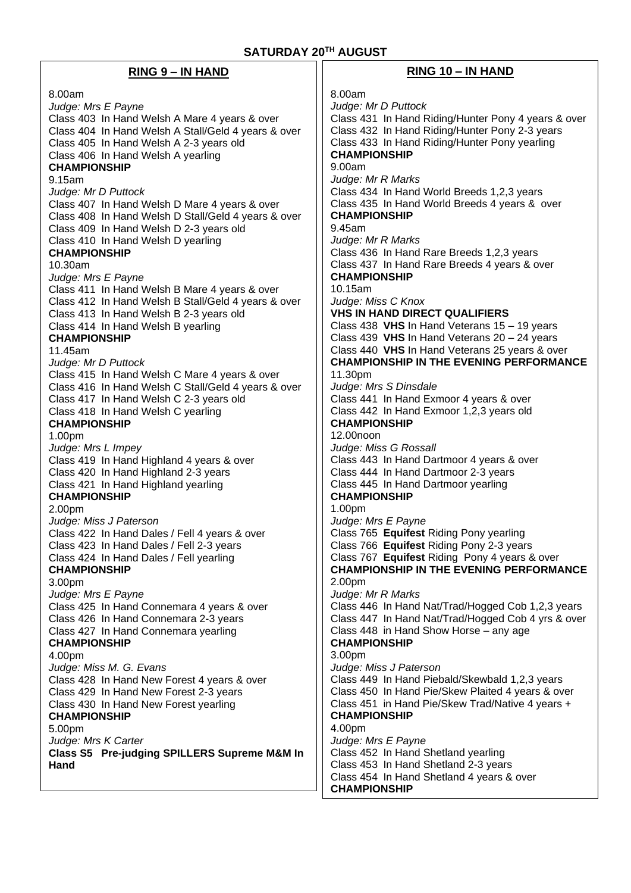| <b>RING 9 – IN HAND</b>                                                | $RING 10 - IN HAND$                                                                            |
|------------------------------------------------------------------------|------------------------------------------------------------------------------------------------|
| 8.00am                                                                 | 8.00am                                                                                         |
| Judge: Mrs E Payne                                                     | Judge: Mr D Puttock                                                                            |
| Class 403 In Hand Welsh A Mare 4 years & over                          | Class 431 In Hand Riding/Hunter Pony 4 years & over                                            |
| Class 404 In Hand Welsh A Stall/Geld 4 years & over                    | Class 432 In Hand Riding/Hunter Pony 2-3 years                                                 |
| Class 405 In Hand Welsh A 2-3 years old                                | Class 433 In Hand Riding/Hunter Pony yearling                                                  |
| Class 406 In Hand Welsh A yearling                                     | <b>CHAMPIONSHIP</b>                                                                            |
| <b>CHAMPIONSHIP</b>                                                    | 9.00am                                                                                         |
| 9.15am                                                                 | Judge: Mr R Marks                                                                              |
| Judge: Mr D Puttock<br>Class 407 In Hand Welsh D Mare 4 years & over   | Class 434 In Hand World Breeds 1,2,3 years<br>Class 435 In Hand World Breeds 4 years & over    |
| Class 408 In Hand Welsh D Stall/Geld 4 years & over                    | <b>CHAMPIONSHIP</b>                                                                            |
| Class 409 In Hand Welsh D 2-3 years old                                | 9.45am                                                                                         |
| Class 410 In Hand Welsh D yearling                                     | Judge: Mr R Marks                                                                              |
| <b>CHAMPIONSHIP</b>                                                    | Class 436 In Hand Rare Breeds 1,2,3 years                                                      |
| 10.30am                                                                | Class 437 In Hand Rare Breeds 4 years & over                                                   |
| Judge: Mrs E Payne                                                     | <b>CHAMPIONSHIP</b>                                                                            |
| Class 411 In Hand Welsh B Mare 4 years & over                          | 10.15am                                                                                        |
| Class 412 In Hand Welsh B Stall/Geld 4 years & over                    | Judge: Miss C Knox                                                                             |
| Class 413 In Hand Welsh B 2-3 years old                                | <b>VHS IN HAND DIRECT QUALIFIERS</b>                                                           |
| Class 414 In Hand Welsh B yearling<br><b>CHAMPIONSHIP</b>              | Class 438 VHS In Hand Veterans 15 - 19 years<br>Class 439 VHS In Hand Veterans $20 - 24$ years |
| 11.45am                                                                | Class 440 VHS In Hand Veterans 25 years & over                                                 |
| Judge: Mr D Puttock                                                    | <b>CHAMPIONSHIP IN THE EVENING PERFORMANCE</b>                                                 |
| Class 415 In Hand Welsh C Mare 4 years & over                          | 11.30pm                                                                                        |
| Class 416 In Hand Welsh C Stall/Geld 4 years & over                    | Judge: Mrs S Dinsdale                                                                          |
| Class 417 In Hand Welsh C 2-3 years old                                | Class 441 In Hand Exmoor 4 years & over                                                        |
| Class 418 In Hand Welsh C yearling                                     | Class 442 In Hand Exmoor 1,2,3 years old                                                       |
| <b>CHAMPIONSHIP</b>                                                    | <b>CHAMPIONSHIP</b>                                                                            |
| 1.00pm                                                                 | 12.00noon                                                                                      |
| Judge: Mrs L Impey<br>Class 419 In Hand Highland 4 years & over        | Judge: Miss G Rossall<br>Class 443 In Hand Dartmoor 4 years & over                             |
| Class 420 In Hand Highland 2-3 years                                   | Class 444 In Hand Dartmoor 2-3 years                                                           |
| Class 421 In Hand Highland yearling                                    | Class 445 In Hand Dartmoor yearling                                                            |
| <b>CHAMPIONSHIP</b>                                                    | <b>CHAMPIONSHIP</b>                                                                            |
| 2.00pm                                                                 | 1.00pm                                                                                         |
| Judge: Miss J Paterson                                                 | Judge: Mrs E Payne                                                                             |
| Class 422 In Hand Dales / Fell 4 years & over                          | Class 765 Equifest Riding Pony yearling                                                        |
| Class 423 In Hand Dales / Fell 2-3 years                               | Class 766 Equifest Riding Pony 2-3 years<br>Class 767 Equifest Riding Pony 4 years & over      |
| Class 424 In Hand Dales / Fell yearling<br><b>CHAMPIONSHIP</b>         | <b>CHAMPIONSHIP IN THE EVENING PERFORMANCE</b>                                                 |
| 3.00pm                                                                 | 2.00pm                                                                                         |
| Judge: Mrs E Payne                                                     | Judge: Mr R Marks                                                                              |
| Class 425 In Hand Connemara 4 years & over                             | Class 446 In Hand Nat/Trad/Hogged Cob 1,2,3 years                                              |
| Class 426 In Hand Connemara 2-3 years                                  | Class 447 In Hand Nat/Trad/Hogged Cob 4 yrs & over                                             |
| Class 427 In Hand Connemara yearling                                   | Class 448 in Hand Show Horse - any age                                                         |
| <b>CHAMPIONSHIP</b>                                                    | <b>CHAMPIONSHIP</b>                                                                            |
| 4.00pm                                                                 | 3.00pm<br>Judge: Miss J Paterson                                                               |
| Judge: Miss M. G. Evans<br>Class 428 In Hand New Forest 4 years & over | Class 449 In Hand Piebald/Skewbald 1,2,3 years                                                 |
| Class 429 In Hand New Forest 2-3 years                                 | Class 450 In Hand Pie/Skew Plaited 4 years & over                                              |
| Class 430 In Hand New Forest yearling                                  | Class 451 in Hand Pie/Skew Trad/Native 4 years +                                               |
| <b>CHAMPIONSHIP</b>                                                    | <b>CHAMPIONSHIP</b>                                                                            |
| 5.00pm                                                                 | 4.00pm                                                                                         |
| Judge: Mrs K Carter                                                    | Judge: Mrs E Payne                                                                             |
| Class S5 Pre-judging SPILLERS Supreme M&M In<br>Hand                   | Class 452 In Hand Shetland yearling<br>Class 453 In Hand Shetland 2-3 years                    |
|                                                                        | Class 454 In Hand Shetland 4 years & over                                                      |

**CHAMPIONSHIP**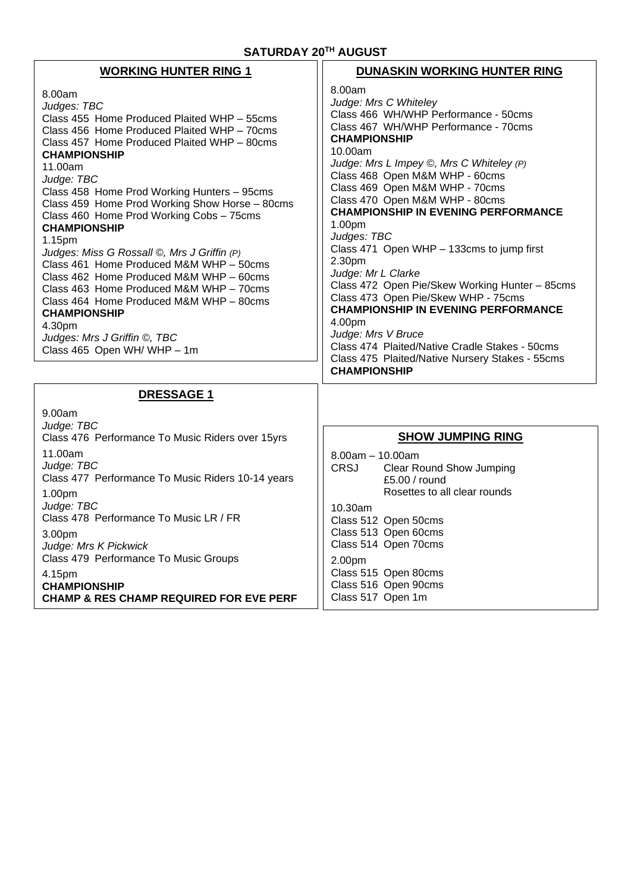| <b>WORKING HUNTER RING 1</b>                                                                                                                                                                                                                                                                                                                                                                                                                                                                                                                                                                                                                                                                                                | DUNASKIN WORKING HUNTER RING                                                                                                                                                                                                                                                                                                                                                                                                                                                                                                                                                                                                                                                                                                                               |
|-----------------------------------------------------------------------------------------------------------------------------------------------------------------------------------------------------------------------------------------------------------------------------------------------------------------------------------------------------------------------------------------------------------------------------------------------------------------------------------------------------------------------------------------------------------------------------------------------------------------------------------------------------------------------------------------------------------------------------|------------------------------------------------------------------------------------------------------------------------------------------------------------------------------------------------------------------------------------------------------------------------------------------------------------------------------------------------------------------------------------------------------------------------------------------------------------------------------------------------------------------------------------------------------------------------------------------------------------------------------------------------------------------------------------------------------------------------------------------------------------|
| 8.00am<br>Judges: TBC<br>Class 455 Home Produced Plaited WHP - 55cms<br>Class 456 Home Produced Plaited WHP - 70cms<br>Class 457 Home Produced Plaited WHP - 80cms<br><b>CHAMPIONSHIP</b><br>11.00am<br>Judge: TBC<br>Class 458 Home Prod Working Hunters - 95cms<br>Class 459 Home Prod Working Show Horse - 80cms<br>Class 460 Home Prod Working Cobs - 75cms<br><b>CHAMPIONSHIP</b><br>1.15pm<br>Judges: Miss G Rossall ©, Mrs J Griffin (P)<br>Class 461 Home Produced M&M WHP - 50cms<br>Class 462 Home Produced M&M WHP - 60cms<br>Class 463 Home Produced M&M WHP - 70cms<br>Class 464 Home Produced M&M WHP - 80cms<br><b>CHAMPIONSHIP</b><br>4.30pm<br>Judges: Mrs J Griffin ©, TBC<br>Class 465 Open WH/ WHP - 1m | 8.00am<br>Judge: Mrs C Whiteley<br>Class 466 WH/WHP Performance - 50cms<br>Class 467 WH/WHP Performance - 70cms<br><b>CHAMPIONSHIP</b><br>10.00am<br>Judge: Mrs L Impey ©, Mrs C Whiteley (P)<br>Class 468 Open M&M WHP - 60cms<br>Class 469 Open M&M WHP - 70cms<br>Class 470 Open M&M WHP - 80cms<br><b>CHAMPIONSHIP IN EVENING PERFORMANCE</b><br>1.00pm<br>Judges: TBC<br>Class 471 Open WHP - 133cms to jump first<br>2.30pm<br>Judge: Mr L Clarke<br>Class 472 Open Pie/Skew Working Hunter - 85cms<br>Class 473 Open Pie/Skew WHP - 75cms<br><b>CHAMPIONSHIP IN EVENING PERFORMANCE</b><br>4.00pm<br>Judge: Mrs V Bruce<br>Class 474 Plaited/Native Cradle Stakes - 50cms<br>Class 475 Plaited/Native Nursery Stakes - 55cms<br><b>CHAMPIONSHIP</b> |
|                                                                                                                                                                                                                                                                                                                                                                                                                                                                                                                                                                                                                                                                                                                             |                                                                                                                                                                                                                                                                                                                                                                                                                                                                                                                                                                                                                                                                                                                                                            |
| <b>DRESSAGE 1</b><br>9.00am                                                                                                                                                                                                                                                                                                                                                                                                                                                                                                                                                                                                                                                                                                 |                                                                                                                                                                                                                                                                                                                                                                                                                                                                                                                                                                                                                                                                                                                                                            |
| Judge: TBC<br>Class 476 Performance To Music Riders over 15yrs                                                                                                                                                                                                                                                                                                                                                                                                                                                                                                                                                                                                                                                              | <b>SHOW JUMPING RING</b>                                                                                                                                                                                                                                                                                                                                                                                                                                                                                                                                                                                                                                                                                                                                   |
| 11.00am<br>Judge: TBC<br>Class 477 Performance To Music Riders 10-14 years<br>1.00pm                                                                                                                                                                                                                                                                                                                                                                                                                                                                                                                                                                                                                                        | $8.00am - 10.00am$<br><b>CRSJ</b><br><b>Clear Round Show Jumping</b><br>£5.00 / round<br>Rosettes to all clear rounds                                                                                                                                                                                                                                                                                                                                                                                                                                                                                                                                                                                                                                      |
| Judge: TBC<br>Class 478 Performance To Music LR / FR                                                                                                                                                                                                                                                                                                                                                                                                                                                                                                                                                                                                                                                                        | $10.30$ am<br>Class 512 Open 50cms                                                                                                                                                                                                                                                                                                                                                                                                                                                                                                                                                                                                                                                                                                                         |
| 3.00pm<br>Judge: Mrs K Pickwick                                                                                                                                                                                                                                                                                                                                                                                                                                                                                                                                                                                                                                                                                             | Class 513 Open 60cms<br>Class 514 Open 70cms                                                                                                                                                                                                                                                                                                                                                                                                                                                                                                                                                                                                                                                                                                               |
| Class 479 Performance To Music Groups<br>4.15pm<br><b>CHAMPIONSHIP</b><br><b>CHAMP &amp; RES CHAMP REQUIRED FOR EVE PERF</b>                                                                                                                                                                                                                                                                                                                                                                                                                                                                                                                                                                                                | 2.00pm<br>Class 515 Open 80cms<br>Class 516 Open 90cms<br>Class 517 Open 1m                                                                                                                                                                                                                                                                                                                                                                                                                                                                                                                                                                                                                                                                                |